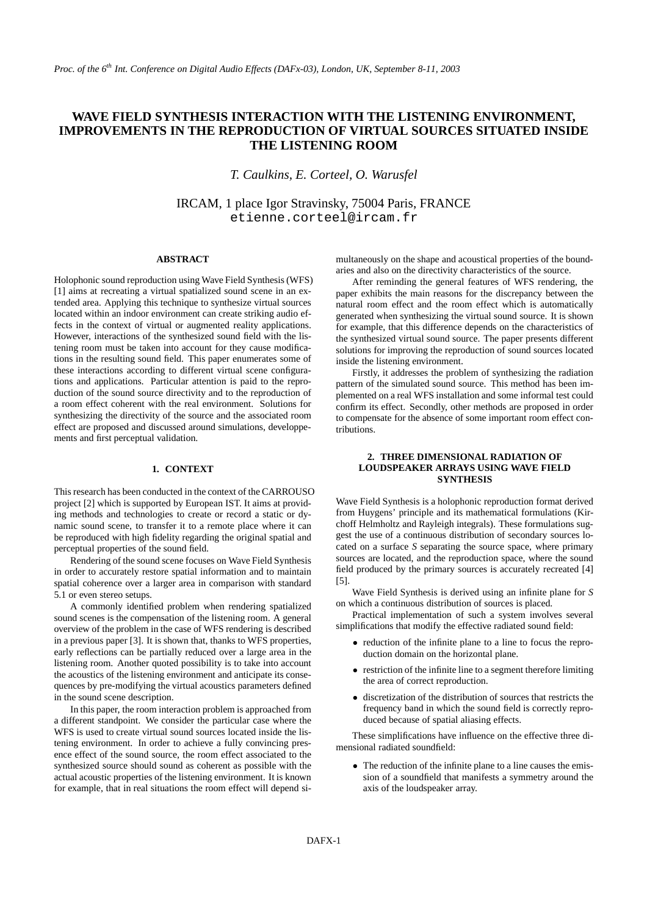# **WAVE FIELD SYNTHESIS INTERACTION WITH THE LISTENING ENVIRONMENT, IMPROVEMENTS IN THE REPRODUCTION OF VIRTUAL SOURCES SITUATED INSIDE THE LISTENING ROOM**

*T. Caulkins, E. Corteel, O. Warusfel*

IRCAM, 1 place Igor Stravinsky, 75004 Paris, FRANCE etienne.corteel@ircam.fr

### **ABSTRACT**

Holophonic sound reproduction using Wave Field Synthesis (WFS) [1] aims at recreating a virtual spatialized sound scene in an extended area. Applying this technique to synthesize virtual sources located within an indoor environment can create striking audio effects in the context of virtual or augmented reality applications. However, interactions of the synthesized sound field with the listening room must be taken into account for they cause modifications in the resulting sound field. This paper enumerates some of these interactions according to different virtual scene configurations and applications. Particular attention is paid to the reproduction of the sound source directivity and to the reproduction of a room effect coherent with the real environment. Solutions for synthesizing the directivity of the source and the associated room effect are proposed and discussed around simulations, developpements and first perceptual validation.

# **1. CONTEXT**

This research has been conducted in the context of the CARROUSO project [2] which is supported by European IST. It aims at providing methods and technologies to create or record a static or dynamic sound scene, to transfer it to a remote place where it can be reproduced with high fidelity regarding the original spatial and perceptual properties of the sound field.

Rendering of the sound scene focuses on Wave Field Synthesis in order to accurately restore spatial information and to maintain spatial coherence over a larger area in comparison with standard 5.1 or even stereo setups.

A commonly identified problem when rendering spatialized sound scenes is the compensation of the listening room. A general overview of the problem in the case of WFS rendering is described in a previous paper [3]. It is shown that, thanks to WFS properties, early reflections can be partially reduced over a large area in the listening room. Another quoted possibility is to take into account the acoustics of the listening environment and anticipate its consequences by pre-modifying the virtual acoustics parameters defined in the sound scene description.

In this paper, the room interaction problem is approached from a different standpoint. We consider the particular case where the WFS is used to create virtual sound sources located inside the listening environment. In order to achieve a fully convincing presence effect of the sound source, the room effect associated to the synthesized source should sound as coherent as possible with the actual acoustic properties of the listening environment. It is known for example, that in real situations the room effect will depend simultaneously on the shape and acoustical properties of the boundaries and also on the directivity characteristics of the source.

After reminding the general features of WFS rendering, the paper exhibits the main reasons for the discrepancy between the natural room effect and the room effect which is automatically generated when synthesizing the virtual sound source. It is shown for example, that this difference depends on the characteristics of the synthesized virtual sound source. The paper presents different solutions for improving the reproduction of sound sources located inside the listening environment.

Firstly, it addresses the problem of synthesizing the radiation pattern of the simulated sound source. This method has been implemented on a real WFS installation and some informal test could confirm its effect. Secondly, other methods are proposed in order to compensate for the absence of some important room effect contributions.

# **2. THREE DIMENSIONAL RADIATION OF LOUDSPEAKER ARRAYS USING WAVE FIELD SYNTHESIS**

Wave Field Synthesis is a holophonic reproduction format derived from Huygens' principle and its mathematical formulations (Kirchoff Helmholtz and Rayleigh integrals). These formulations suggest the use of a continuous distribution of secondary sources located on a surface *S* separating the source space, where primary sources are located, and the reproduction space, where the sound field produced by the primary sources is accurately recreated [4] [5].

Wave Field Synthesis is derived using an infinite plane for *S* on which a continuous distribution of sources is placed.

Practical implementation of such a system involves several simplifications that modify the effective radiated sound field:

- reduction of the infinite plane to a line to focus the reproduction domain on the horizontal plane.
- restriction of the infinite line to a segment therefore limiting the area of correct reproduction.
- discretization of the distribution of sources that restricts the frequency band in which the sound field is correctly reproduced because of spatial aliasing effects.

These simplifications have influence on the effective three dimensional radiated soundfield:

• The reduction of the infinite plane to a line causes the emission of a soundfield that manifests a symmetry around the axis of the loudspeaker array.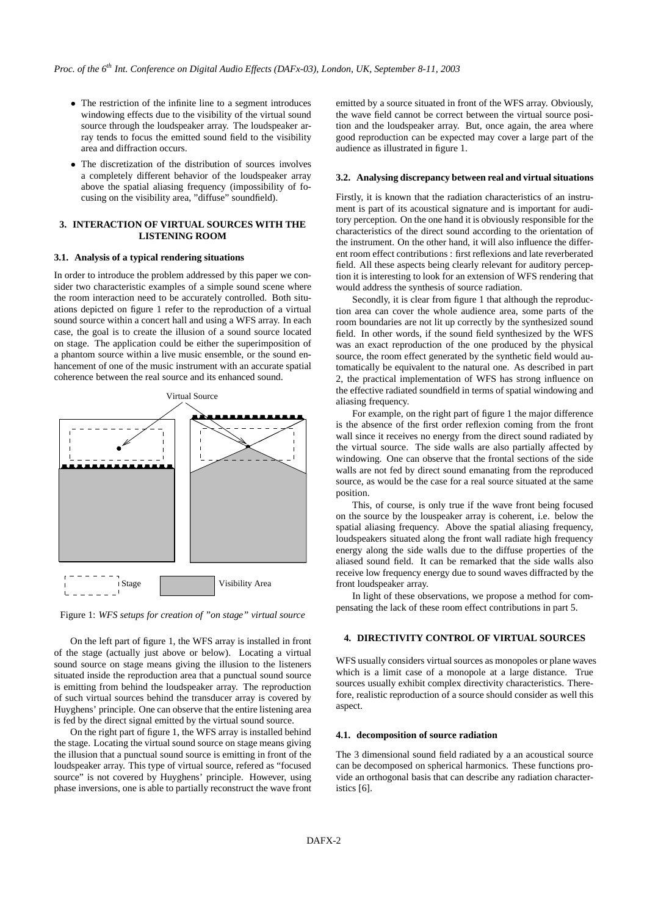- The restriction of the infinite line to a segment introduces windowing effects due to the visibility of the virtual sound source through the loudspeaker array. The loudspeaker array tends to focus the emitted sound field to the visibility area and diffraction occurs.
- The discretization of the distribution of sources involves a completely different behavior of the loudspeaker array above the spatial aliasing frequency (impossibility of focusing on the visibility area, "diffuse" soundfield).

### **3. INTERACTION OF VIRTUAL SOURCES WITH THE LISTENING ROOM**

### **3.1. Analysis of a typical rendering situations**

In order to introduce the problem addressed by this paper we consider two characteristic examples of a simple sound scene where the room interaction need to be accurately controlled. Both situations depicted on figure 1 refer to the reproduction of a virtual sound source within a concert hall and using a WFS array. In each case, the goal is to create the illusion of a sound source located on stage. The application could be either the superimposition of a phantom source within a live music ensemble, or the sound enhancement of one of the music instrument with an accurate spatial coherence between the real source and its enhanced sound.



Figure 1: *WFS setups for creation of "on stage" virtual source*

On the left part of figure 1, the WFS array is installed in front of the stage (actually just above or below). Locating a virtual sound source on stage means giving the illusion to the listeners situated inside the reproduction area that a punctual sound source is emitting from behind the loudspeaker array. The reproduction of such virtual sources behind the transducer array is covered by Huyghens' principle. One can observe that the entire listening area is fed by the direct signal emitted by the virtual sound source.

On the right part of figure 1, the WFS array is installed behind the stage. Locating the virtual sound source on stage means giving the illusion that a punctual sound source is emitting in front of the loudspeaker array. This type of virtual source, refered as "focused source" is not covered by Huyghens' principle. However, using phase inversions, one is able to partially reconstruct the wave front emitted by a source situated in front of the WFS array. Obviously, the wave field cannot be correct between the virtual source position and the loudspeaker array. But, once again, the area where good reproduction can be expected may cover a large part of the audience as illustrated in figure 1.

#### **3.2. Analysing discrepancy between real and virtual situations**

Firstly, it is known that the radiation characteristics of an instrument is part of its acoustical signature and is important for auditory perception. On the one hand it is obviously responsible for the characteristics of the direct sound according to the orientation of the instrument. On the other hand, it will also influence the different room effect contributions : first reflexions and late reverberated field. All these aspects being clearly relevant for auditory perception it is interesting to look for an extension of WFS rendering that would address the synthesis of source radiation.

Secondly, it is clear from figure 1 that although the reproduction area can cover the whole audience area, some parts of the room boundaries are not lit up correctly by the synthesized sound field. In other words, if the sound field synthesized by the WFS was an exact reproduction of the one produced by the physical source, the room effect generated by the synthetic field would automatically be equivalent to the natural one. As described in part 2, the practical implementation of WFS has strong influence on the effective radiated soundfield in terms of spatial windowing and aliasing frequency.

For example, on the right part of figure 1 the major difference is the absence of the first order reflexion coming from the front wall since it receives no energy from the direct sound radiated by the virtual source. The side walls are also partially affected by windowing. One can observe that the frontal sections of the side walls are not fed by direct sound emanating from the reproduced source, as would be the case for a real source situated at the same position.

This, of course, is only true if the wave front being focused on the source by the louspeaker array is coherent, i.e. below the spatial aliasing frequency. Above the spatial aliasing frequency, loudspeakers situated along the front wall radiate high frequency energy along the side walls due to the diffuse properties of the aliased sound field. It can be remarked that the side walls also receive low frequency energy due to sound waves diffracted by the front loudspeaker array.

In light of these observations, we propose a method for compensating the lack of these room effect contributions in part 5.

# **4. DIRECTIVITY CONTROL OF VIRTUAL SOURCES**

WFS usually considers virtual sources as monopoles or plane waves which is a limit case of a monopole at a large distance. True sources usually exhibit complex directivity characteristics. Therefore, realistic reproduction of a source should consider as well this aspect.

### **4.1. decomposition of source radiation**

The 3 dimensional sound field radiated by a an acoustical source can be decomposed on spherical harmonics. These functions provide an orthogonal basis that can describe any radiation characteristics [6].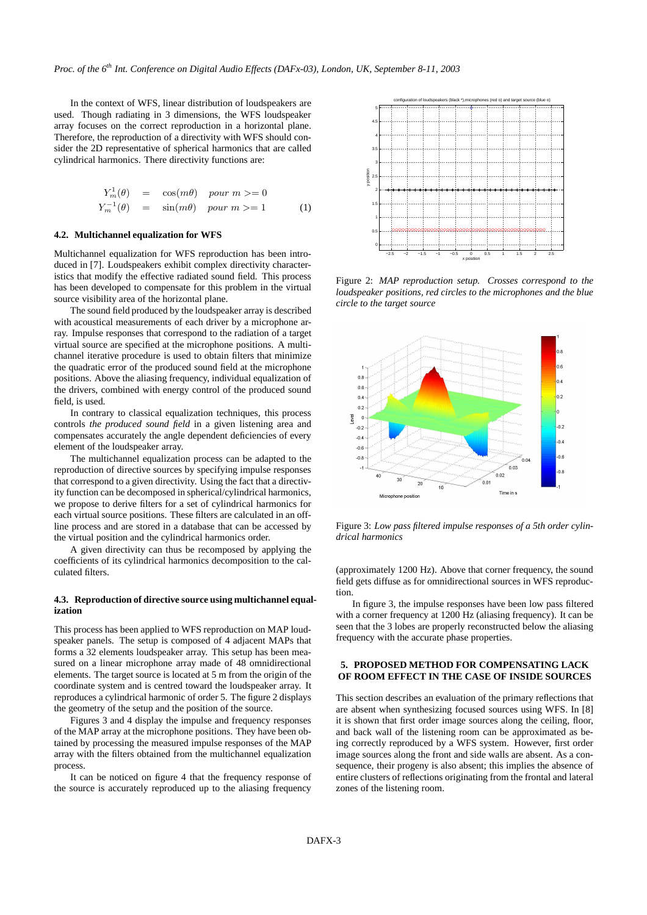In the context of WFS, linear distribution of loudspeakers are used. Though radiating in 3 dimensions, the WFS loudspeaker array focuses on the correct reproduction in a horizontal plane. Therefore, the reproduction of a directivity with WFS should consider the 2D representative of spherical harmonics that are called cylindrical harmonics. There directivity functions are:

$$
Y_m^1(\theta) = \cos(m\theta) \quad pour \quad m >= 0
$$
\n
$$
Y_m^{-1}(\theta) = \sin(m\theta) \quad pour \quad m >= 1 \tag{1}
$$

# **4.2. Multichannel equalization for WFS**

Multichannel equalization for WFS reproduction has been introduced in [7]. Loudspeakers exhibit complex directivity characteristics that modify the effective radiated sound field. This process has been developed to compensate for this problem in the virtual source visibility area of the horizontal plane.

The sound field produced by the loudspeaker array is described with acoustical measurements of each driver by a microphone array. Impulse responses that correspond to the radiation of a target virtual source are specified at the microphone positions. A multichannel iterative procedure is used to obtain filters that minimize the quadratic error of the produced sound field at the microphone positions. Above the aliasing frequency, individual equalization of the drivers, combined with energy control of the produced sound field, is used.

In contrary to classical equalization techniques, this process controls *the produced sound field* in a given listening area and compensates accurately the angle dependent deficiencies of every element of the loudspeaker array.

The multichannel equalization process can be adapted to the reproduction of directive sources by specifying impulse responses that correspond to a given directivity. Using the fact that a directivity function can be decomposed in spherical/cylindrical harmonics, we propose to derive filters for a set of cylindrical harmonics for each virtual source positions. These filters are calculated in an offline process and are stored in a database that can be accessed by the virtual position and the cylindrical harmonics order.

A given directivity can thus be recomposed by applying the coefficients of its cylindrical harmonics decomposition to the calculated filters.

# **4.3. Reproduction of directive source using multichannel equalization**

This process has been applied to WFS reproduction on MAP loudspeaker panels. The setup is composed of 4 adjacent MAPs that forms a 32 elements loudspeaker array. This setup has been measured on a linear microphone array made of 48 omnidirectional elements. The target source is located at 5 m from the origin of the coordinate system and is centred toward the loudspeaker array. It reproduces a cylindrical harmonic of order 5. The figure 2 displays the geometry of the setup and the position of the source.

Figures 3 and 4 display the impulse and frequency responses of the MAP array at the microphone positions. They have been obtained by processing the measured impulse responses of the MAP array with the filters obtained from the multichannel equalization process.

It can be noticed on figure 4 that the frequency response of the source is accurately reproduced up to the aliasing frequency



Figure 2: *MAP reproduction setup. Crosses correspond to the loudspeaker positions, red circles to the microphones and the blue circle to the target source*



Figure 3: *Low pass filtered impulse responses of a 5th order cylindrical harmonics*

(approximately 1200 Hz). Above that corner frequency, the sound field gets diffuse as for omnidirectional sources in WFS reproduction.

In figure 3, the impulse responses have been low pass filtered with a corner frequency at 1200 Hz (aliasing frequency). It can be seen that the 3 lobes are properly reconstructed below the aliasing frequency with the accurate phase properties.

### **5. PROPOSED METHOD FOR COMPENSATING LACK OF ROOM EFFECT IN THE CASE OF INSIDE SOURCES**

This section describes an evaluation of the primary reflections that are absent when synthesizing focused sources using WFS. In [8] it is shown that first order image sources along the ceiling, floor, and back wall of the listening room can be approximated as being correctly reproduced by a WFS system. However, first order image sources along the front and side walls are absent. As a consequence, their progeny is also absent; this implies the absence of entire clusters of reflections originating from the frontal and lateral zones of the listening room.